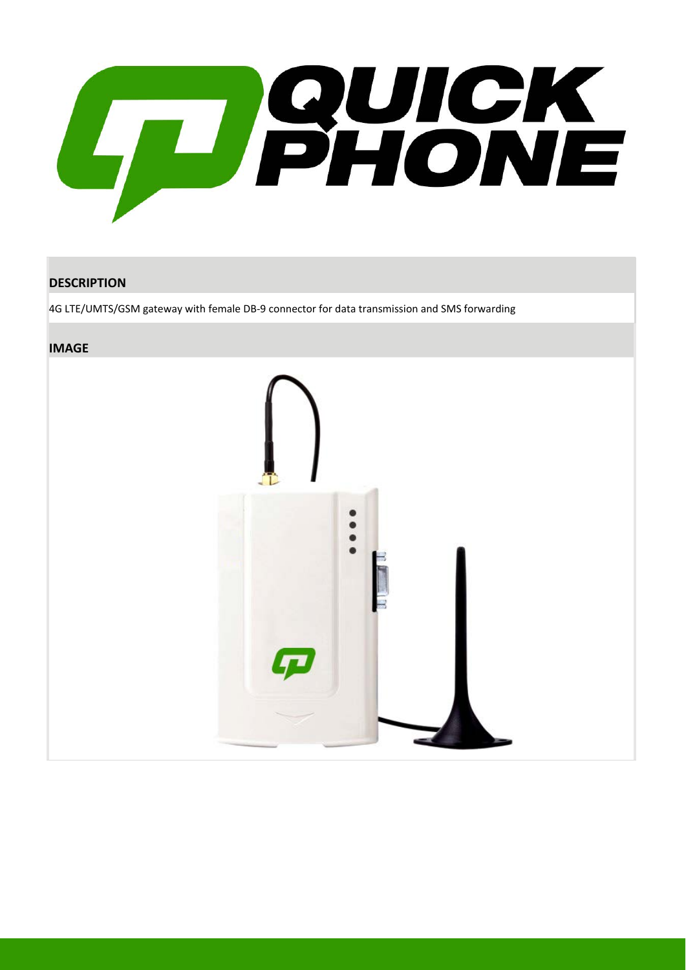

#### **DESCRIPTION**

4G LTE/UMTS/GSM gateway with female DB-9 connector for data transmission and SMS forwarding

#### **IMAGE**

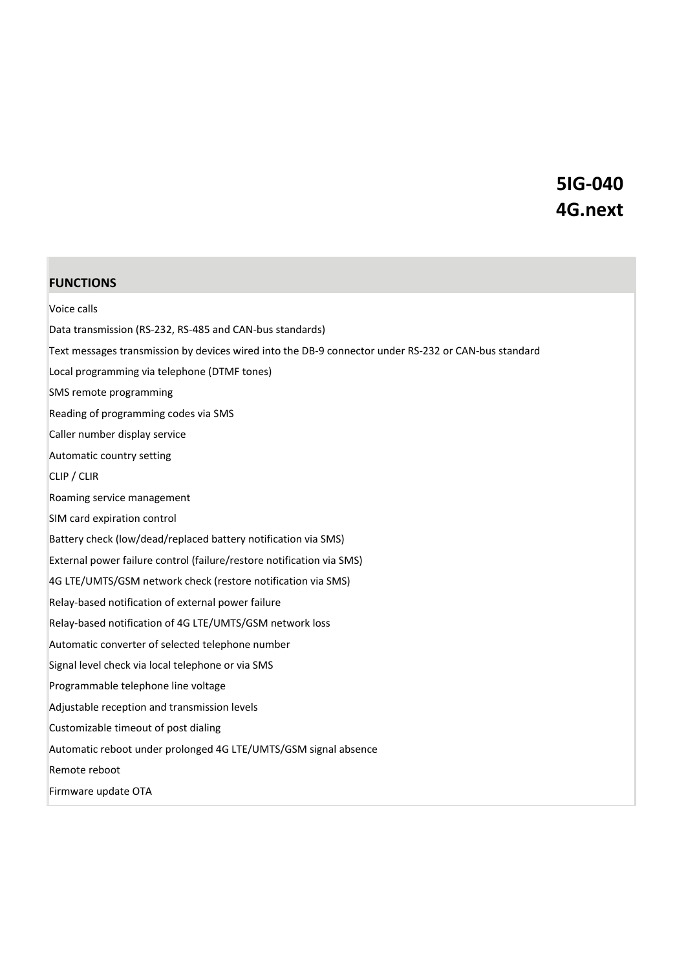### **5IG-040 4G.next**

#### **FUNCTIONS**

Voice calls Data transmission (RS-232, RS-485 and CAN-bus standards) Text messages transmission by devices wired into the DB-9 connector under RS-232 or CAN-bus standard Local programming via telephone (DTMF tones) SMS remote programming Reading of programming codes via SMS Caller number display service Automatic country setting CLIP / CLIR Roaming service management SIM card expiration control Battery check (low/dead/replaced battery notification via SMS) External power failure control (failure/restore notification via SMS) 4G LTE/UMTS/GSM network check (restore notification via SMS) Relay-based notification of external power failure Relay-based notification of 4G LTE/UMTS/GSM network loss Automatic converter of selected telephone number Signal level check via local telephone or via SMS Programmable telephone line voltage Adjustable reception and transmission levels Customizable timeout of post dialing Automatic reboot under prolonged 4G LTE/UMTS/GSM signal absence Remote reboot Firmware update OTA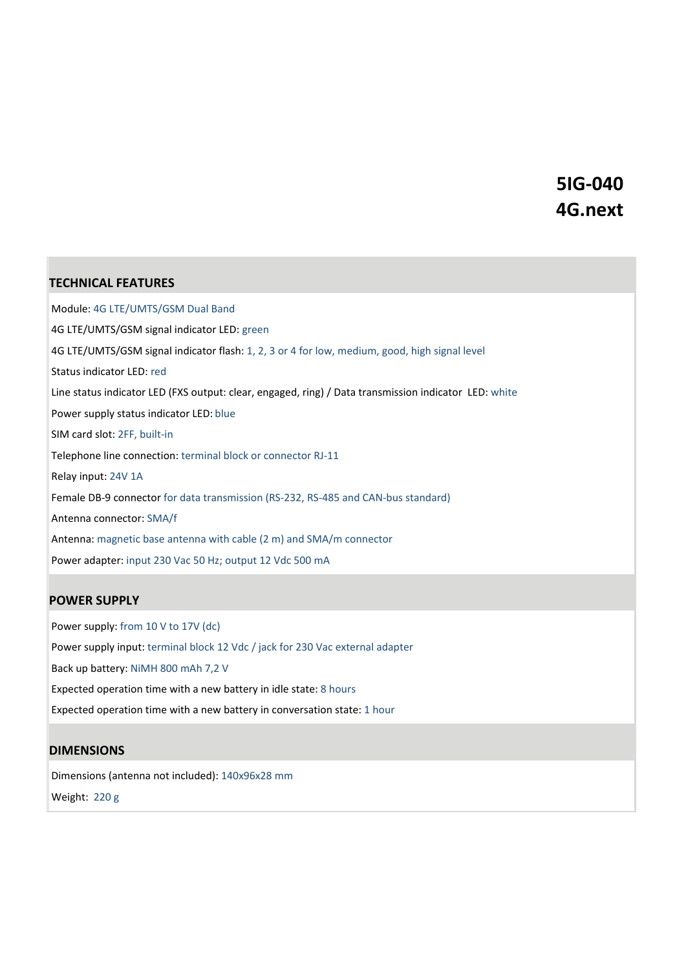### **5IG-040 4G.next**

#### **TECHNICAL FEATURES**

Module: 4G LTE/UMTS/GSM Dual Band 4G LTE/UMTS/GSM signal indicator LED: green 4G LTE/UMTS/GSM signal indicator flash: 1, 2, 3 or 4 for low, medium, good, high signal level Status indicator LED: red Line status indicator LED (FXS output: clear, engaged, ring) / Data transmission indicator LED: white Power supply status indicator LED: blue SIM card slot: 2FF, built-in Telephone line connection: terminal block or connector RJ-11 Relay input: 24V 1A Female DB-9 connector for data transmission (RS-232, RS-485 and CAN-bus standard) Antenna connector: SMA/f Antenna: magnetic base antenna with cable (2 m) and SMA/m connector Power adapter: input 230 Vac 50 Hz; output 12 Vdc 500 mA

#### **POWER SUPPLY**

Power supply: from 10 V to 17V (dc) Power supply input: terminal block 12 Vdc / jack for 230 Vac external adapter Back up battery: NiMH 800 mAh 7,2 V Expected operation time with a new battery in idle state: 8 hours Expected operation time with a new battery in conversation state: 1 hour

#### **DIMENSIONS**

Dimensions (antenna not included): 140x96x28 mm Weight: 220 g